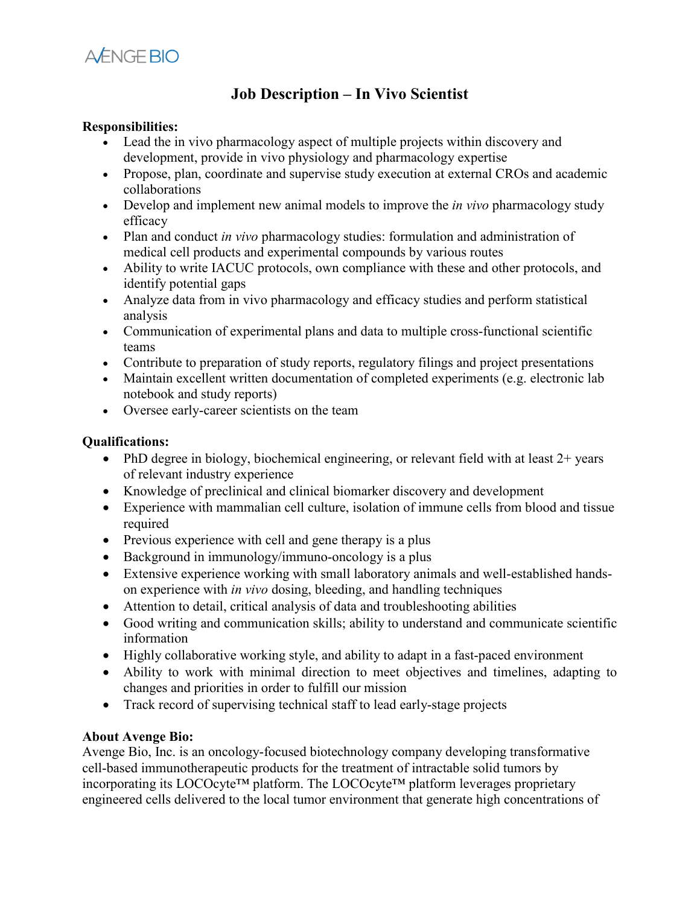

## **Job Description – In Vivo Scientist**

## **Responsibilities:**

- Lead the in vivo pharmacology aspect of multiple projects within discovery and development, provide in vivo physiology and pharmacology expertise
- Propose, plan, coordinate and supervise study execution at external CROs and academic collaborations
- Develop and implement new animal models to improve the *in vivo* pharmacology study efficacy
- Plan and conduct *in vivo* pharmacology studies: formulation and administration of medical cell products and experimental compounds by various routes
- Ability to write IACUC protocols, own compliance with these and other protocols, and identify potential gaps
- Analyze data from in vivo pharmacology and efficacy studies and perform statistical analysis
- Communication of experimental plans and data to multiple cross-functional scientific teams
- Contribute to preparation of study reports, regulatory filings and project presentations
- Maintain excellent written documentation of completed experiments (e.g. electronic lab notebook and study reports)
- Oversee early-career scientists on the team

## **Qualifications:**

- PhD degree in biology, biochemical engineering, or relevant field with at least 2+ years of relevant industry experience
- Knowledge of preclinical and clinical biomarker discovery and development
- Experience with mammalian cell culture, isolation of immune cells from blood and tissue required
- Previous experience with cell and gene therapy is a plus
- Background in immunology/immuno-oncology is a plus
- Extensive experience working with small laboratory animals and well-established handson experience with *in vivo* dosing, bleeding, and handling techniques
- Attention to detail, critical analysis of data and troubleshooting abilities
- Good writing and communication skills; ability to understand and communicate scientific information
- Highly collaborative working style, and ability to adapt in a fast-paced environment
- Ability to work with minimal direction to meet objectives and timelines, adapting to changes and priorities in order to fulfill our mission
- Track record of supervising technical staff to lead early-stage projects

## **About Avenge Bio:**

Avenge Bio, Inc. is an oncology-focused biotechnology company developing transformative cell-based immunotherapeutic products for the treatment of intractable solid tumors by incorporating its LOCOcyte™ platform. The LOCOcyte™ platform leverages proprietary engineered cells delivered to the local tumor environment that generate high concentrations of